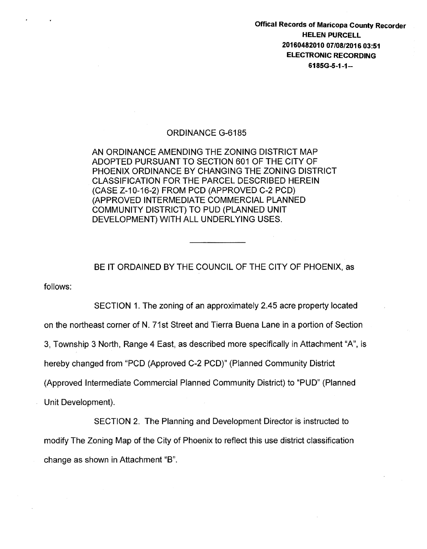Offical Records of Maricopa County Recorder HELEN PURCELL 20160482010 07/08/2016 03:51 ELECTRONIC RECORDING 6185G-5-1-1-

## ORDINANCE G-6185

AN ORDINANCE AMENDING THE ZONING DISTRICT MAP ADOPTED PURSUANT TO SECTION 601 OF THE CITY OF PHOENIX ORDINANCE BY CHANGING THE ZONING DISTRICT CLASSIFICATION FOR THE PARCEL DESCRIBED HEREIN (CASE Z-10-16-2) FROM PCD (APPROVED C-2 PCD) (APPROVED INTERMEDIATE COMMERCIAL PLANNED COMMUNITY DISTRICT) TO PUD (PLANNED UNIT DEVELOPMENT) WITH ALL UNDERLYING USES.

## BE IT ORDAINED BY THE COUNCIL OF THE CITY OF PHOENIX, as

follows:

SECTION 1. The zoning of an approximately 2.45 acre property located on the northeast corner of N. 71st Street and Tierra Buena Lane in a portion of Section 3, Township 3 North, Range 4 East, as described more specifically in Attachment "A", is hereby changed from "PCD (Approved C-2 PCD)" (Planned Community District (Approved Intermediate Commercial Planned Community District) to "PUD" (Planned Unit Development).

SECTION 2. The Planning and Development Director is instructed to modify The Zoning Map of the City of Phoenix to reflect this use district classification change as shown in Attachment "B".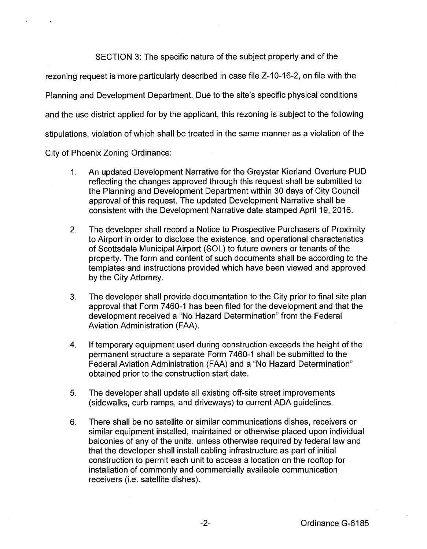SECTION 3: The specific nature of the subject property and of the rezoning request is more particularly described in case file Z-10-16-2, on file with the Planning and Development Department. Due to the site's specific physical conditions and the use district applied for by the applicant, this rezoning is subject to the following stipulations, violation of which shall be treated in the same manner as a violation of the

City of Phoenix Zoning Ordinance:

- 1. An updated Development Narrative for the Greystar Kierland Overture PUD reflecting the changes approved through this request shall be submitted to the Planning and Development Department within 30 days of City Council approval of this request. The updated Development Narrative shall be consistent with the Development Narrative date stamped April 19, 2016.
- 2. The developer shall record a Notice to Prospective Purchasers of Proximity to Airport in order to disclose the existence, and operational characteristics of Scottsdale Municipal Airport (SOL) to future owners or tenants of the property. The form and content of such documents shall be according to the templates and instructions provided which have been viewed and approved by the City Attorney.
- 3. The developer shall provide documentation to the City prior to final site plan approval that Form 7460-1 has been filed for the development and that the development received a "No Hazard Determination" from the Federal Aviation Administration (FAA).
- 4. If temporary equipment used during construction exceeds the height of the permanent structure a separate Form 7460-1 shall be submitted to the Federal Aviation Administration (FAA) and a "No Hazard Determination" obtained prior to the construction start date.
- 5. The developer shall update all existing off-site street improvements (sidewalks, curb ramps, and driveways) to current ADA guidelines.
- 6. There shall be no satellite or similar communications dishes, receivers or similar equipment installed, maintained or otherwise placed upon individual balconies of any of the units, unless otherwise required by federal law and that the developer shall install cabling infrastructure as part of initial construction to permit each unit to access a location on the rooftop for installation of commonly and commercially available communication receivers (i.e. satellite dishes).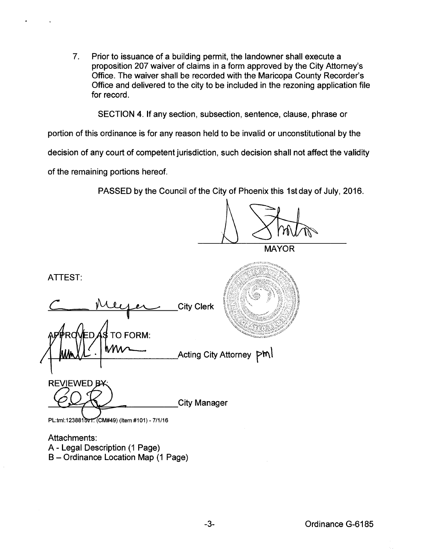7. Prior to issuance of a building permit, the landowner shall execute a proposition 207 waiver of claims in a form approved by the City Attorney's Office. The waiver shall be recorded with the Maricopa County Recorder's Office and delivered to the city to be included in the rezoning application file for record.

SECTION 4. If any section, subsection, sentence, clause, phrase or

portion of this ordinance is for any reason held to be invalid or unconstitutional by the

decision of any court of competent jurisdiction, such decision shall not affect the validity

of the remaining portions hereof.

PASSED by the Council of the City of Phoenix this 1st day of July, 2016.

MAYOR ATTEST: **City Clerk TO FORM:** Acting City Attorney **PM REVIEWED B-City Manager** PL:tml:1238815v1. (CM#49) (Item #101) - 7/1/16

Attachments: A- Legal Description (1 Page) B- Ordinance Location Map (1 Page)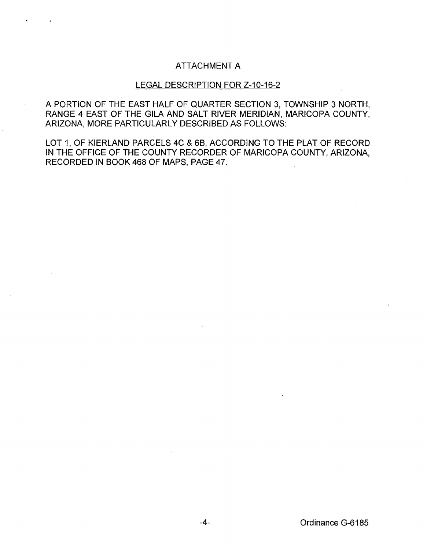## ATTACHMENT A

## LEGAL DESCRIPTION FOR Z-10-16-2

A PORTION OF THE EAST HALF OF QUARTER SECTION 3, TOWNSHIP 3 NORTH, RANGE 4 EAST OF THE GILA AND SALT RIVER MERIDIAN, MARICOPA COUNTY, ARIZONA, MORE PARTICULARLY DESCRIBED AS FOLLOWS:

LOT 1, OF KIERLAND PARCELS 4C & 6B, ACCORDING TO THE PLAT OF RECORD IN THE OFFICE OF THE COUNTY RECORDER OF MARICOPA COUNTY, ARIZONA, RECORDED IN BOOK 468 OF MAPS, PAGE 47.